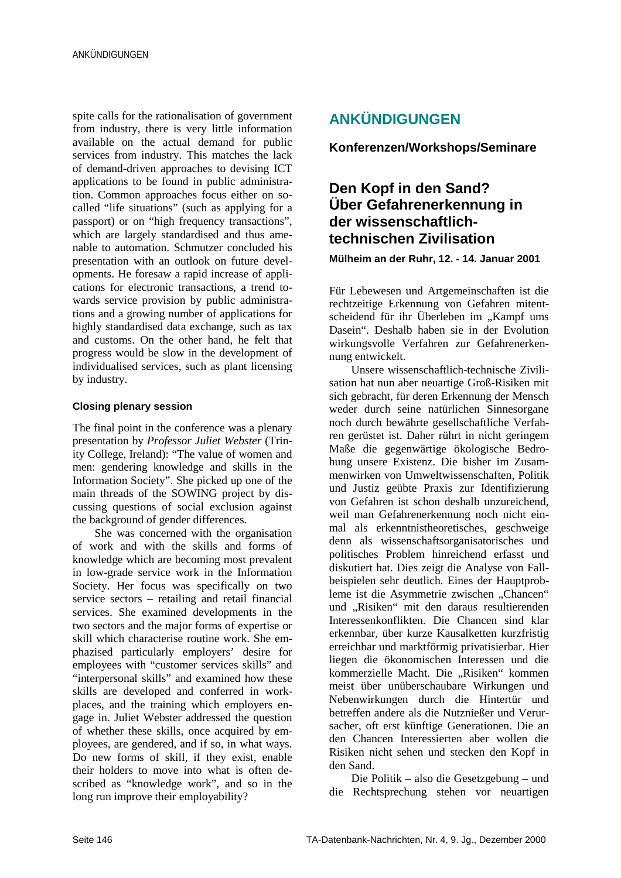spite calls for the rationalisation of government from industry, there is very little information available on the actual demand for public services from industry. This matches the lack of demand-driven approaches to devising ICT applications to be found in public administration. Common approaches focus either on socalled "life situations" (such as applying for a passport) or on "high frequency transactions", which are largely standardised and thus amenable to automation. Schmutzer concluded his presentation with an outlook on future developments. He foresaw a rapid increase of applications for electronic transactions, a trend towards service provision by public administrations and a growing number of applications for highly standardised data exchange, such as tax and customs. On the other hand, he felt that progress would be slow in the development of individualised services, such as plant licensing by industry.

#### **Closing plenary session**

The final point in the conference was a plenary presentation by *Professor Juliet Webster* (Trinity College, Ireland): "The value of women and men: gendering knowledge and skills in the Information Society". She picked up one of the main threads of the SOWING project by discussing questions of social exclusion against the background of gender differences.

She was concerned with the organisation of work and with the skills and forms of knowledge which are becoming most prevalent in low-grade service work in the Information Society. Her focus was specifically on two service sectors – retailing and retail financial services. She examined developments in the two sectors and the major forms of expertise or skill which characterise routine work. She emphazised particularly employers' desire for employees with "customer services skills" and "interpersonal skills" and examined how these skills are developed and conferred in workplaces, and the training which employers engage in. Juliet Webster addressed the question of whether these skills, once acquired by employees, are gendered, and if so, in what ways. Do new forms of skill, if they exist, enable their holders to move into what is often described as "knowledge work", and so in the long run improve their employability?

# **ANKÜNDIGUNGEN**

**Konferenzen/Workshops/Seminare**

## **Den Kopf in den Sand? Über Gefahrenerkennung in der wissenschaftlichtechnischen Zivilisation**

**Mülheim an der Ruhr, 12. - 14. Januar 2001**

Für Lebewesen und Artgemeinschaften ist die rechtzeitige Erkennung von Gefahren mitentscheidend für ihr Überleben im "Kampf ums Dasein". Deshalb haben sie in der Evolution wirkungsvolle Verfahren zur Gefahrenerkennung entwickelt.

Unsere wissenschaftlich-technische Zivilisation hat nun aber neuartige Groß-Risiken mit sich gebracht, für deren Erkennung der Mensch weder durch seine natürlichen Sinnesorgane noch durch bewährte gesellschaftliche Verfahren gerüstet ist. Daher rührt in nicht geringem Maße die gegenwärtige ökologische Bedrohung unsere Existenz. Die bisher im Zusammenwirken von Umweltwissenschaften, Politik und Justiz geübte Praxis zur Identifizierung von Gefahren ist schon deshalb unzureichend, weil man Gefahrenerkennung noch nicht einmal als erkenntnistheoretisches, geschweige denn als wissenschaftsorganisatorisches und politisches Problem hinreichend erfasst und diskutiert hat. Dies zeigt die Analyse von Fallbeispielen sehr deutlich. Eines der Hauptprobleme ist die Asymmetrie zwischen "Chancen" und "Risiken" mit den daraus resultierenden Interessenkonflikten. Die Chancen sind klar erkennbar, über kurze Kausalketten kurzfristig erreichbar und marktförmig privatisierbar. Hier liegen die ökonomischen Interessen und die kommerzielle Macht. Die "Risiken" kommen meist über unüberschaubare Wirkungen und Nebenwirkungen durch die Hintertür und betreffen andere als die Nutznießer und Verursacher, oft erst künftige Generationen. Die an den Chancen Interessierten aber wollen die Risiken nicht sehen und stecken den Kopf in den Sand.

Die Politik – also die Gesetzgebung – und die Rechtsprechung stehen vor neuartigen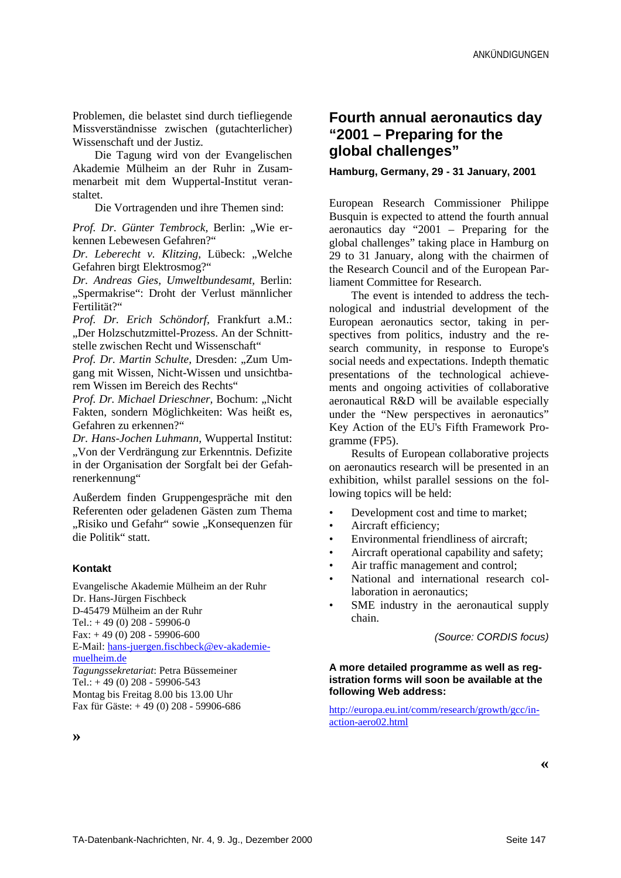Problemen, die belastet sind durch tiefliegende Missverständnisse zwischen (gutachterlicher) Wissenschaft und der Justiz.

Die Tagung wird von der Evangelischen Akademie Mülheim an der Ruhr in Zusammenarbeit mit dem Wuppertal-Institut veranstaltet.

Die Vortragenden und ihre Themen sind:

*Prof. Dr. Günter Tembrock, Berlin: "Wie er*kennen Lebewesen Gefahren?"

*Dr. Leberecht v. Klitzing, Lübeck: "Welche* Gefahren birgt Elektrosmog?"

*Dr. Andreas Gies, Umweltbundesamt,* Berlin: "Spermakrise": Droht der Verlust männlicher Fertilität?"

*Prof. Dr. Erich Schöndorf,* Frankfurt a.M.: "Der Holzschutzmittel-Prozess. An der Schnittstelle zwischen Recht und Wissenschaft"

Prof. Dr. Martin Schulte, Dresden: "Zum Umgang mit Wissen, Nicht-Wissen und unsichtbarem Wissen im Bereich des Rechts"

*Prof. Dr. Michael Drieschner, Bochum: "Nicht* Fakten, sondern Möglichkeiten: Was heißt es, Gefahren zu erkennen?"

*Dr. Hans-Jochen Luhmann,* Wuppertal Institut: "Von der Verdrängung zur Erkenntnis. Defizite in der Organisation der Sorgfalt bei der Gefahrenerkennung"

Außerdem finden Gruppengespräche mit den Referenten oder geladenen Gästen zum Thema "Risiko und Gefahr" sowie "Konsequenzen für die Politik" statt.

#### **Kontakt**

Evangelische Akademie Mülheim an der Ruhr Dr. Hans-Jürgen Fischbeck D-45479 Mülheim an der Ruhr Tel.:  $+49(0)208 - 59906-0$ Fax:  $+49(0)$  208 - 59906-600 E-Mail: hans-juergen.fischbeck@ev-akademiemuelheim.de *Tagungssekretariat*: Petra Büssemeiner Tel.:  $+49(0)208 - 59906 - 543$ Montag bis Freitag 8.00 bis 13.00 Uhr Fax für Gäste: + 49 (0) 208 - 59906-686

**Fourth annual aeronautics day "2001 – Preparing for the global challenges"**

#### **Hamburg, Germany, 29 - 31 January, 2001**

European Research Commissioner Philippe Busquin is expected to attend the fourth annual aeronautics day "2001 – Preparing for the global challenges" taking place in Hamburg on 29 to 31 January, along with the chairmen of the Research Council and of the European Parliament Committee for Research.

The event is intended to address the technological and industrial development of the European aeronautics sector, taking in perspectives from politics, industry and the research community, in response to Europe's social needs and expectations. Indepth thematic presentations of the technological achievements and ongoing activities of collaborative aeronautical R&D will be available especially under the "New perspectives in aeronautics" Key Action of the EU's Fifth Framework Programme (FP5).

Results of European collaborative projects on aeronautics research will be presented in an exhibition, whilst parallel sessions on the following topics will be held:

- Development cost and time to market;
- Aircraft efficiency;
- Environmental friendliness of aircraft;
- Aircraft operational capability and safety;
- Air traffic management and control;
- National and international research collaboration in aeronautics;
- SME industry in the aeronautical supply chain.

(Source: CORDIS focus)

#### **A more detailed programme as well as registration forms will soon be available at the following Web address:**

http://europa.eu.int/comm/research/growth/gcc/inaction-aero02.html

**»**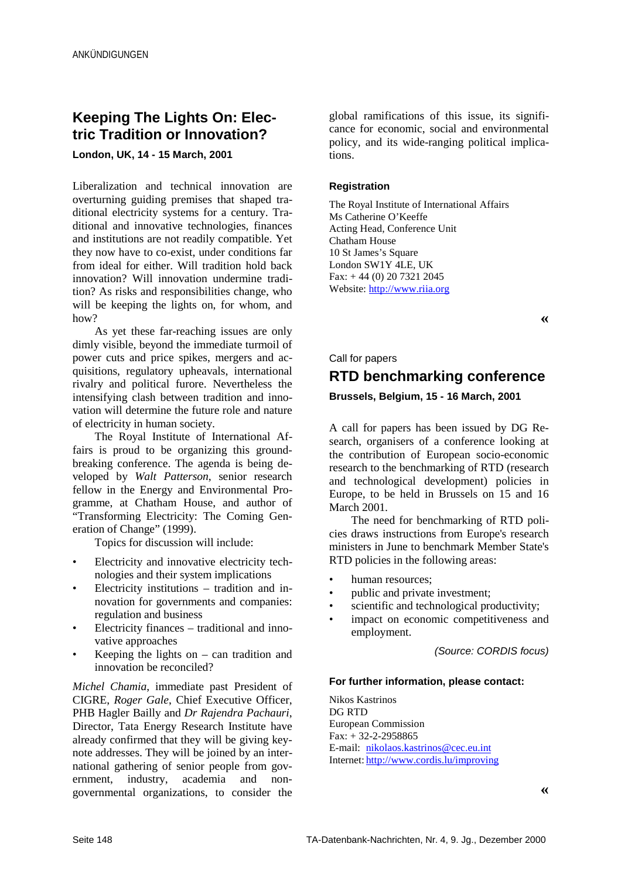# **Keeping The Lights On: Electric Tradition or Innovation?**

**London, UK, 14 - 15 March, 2001**

Liberalization and technical innovation are overturning guiding premises that shaped traditional electricity systems for a century. Traditional and innovative technologies, finances and institutions are not readily compatible. Yet they now have to co-exist, under conditions far from ideal for either. Will tradition hold back innovation? Will innovation undermine tradition? As risks and responsibilities change, who will be keeping the lights on, for whom, and how?

As yet these far-reaching issues are only dimly visible, beyond the immediate turmoil of power cuts and price spikes, mergers and acquisitions, regulatory upheavals, international rivalry and political furore. Nevertheless the intensifying clash between tradition and innovation will determine the future role and nature of electricity in human society.

The Royal Institute of International Affairs is proud to be organizing this groundbreaking conference. The agenda is being developed by *Walt Patterson*, senior research fellow in the Energy and Environmental Programme, at Chatham House, and author of "Transforming Electricity: The Coming Generation of Change" (1999).

Topics for discussion will include:

- Electricity and innovative electricity technologies and their system implications
- Electricity institutions tradition and innovation for governments and companies: regulation and business
- Electricity finances traditional and innovative approaches
- Keeping the lights on  $-$  can tradition and innovation be reconciled?

*Michel Chamia*, immediate past President of CIGRE, *Roger Gale*, Chief Executive Officer, PHB Hagler Bailly and *Dr Rajendra Pachauri*, Director, Tata Energy Research Institute have already confirmed that they will be giving keynote addresses. They will be joined by an international gathering of senior people from government, industry, academia and nonernment, industry, academia and nongovernmental organizations, to consider the

global ramifications of this issue, its significance for economic, social and environmental policy, and its wide-ranging political implications.

#### **Registration**

The Royal Institute of International Affairs Ms Catherine O'Keeffe Acting Head, Conference Unit Chatham House 10 St James's Square London SW1Y 4LE, UK Fax: + 44 (0) 20 7321 2045 Website: http://www.riia.org

**«**

#### Call for papers

# **RTD benchmarking conference**

**Brussels, Belgium, 15 - 16 March, 2001**

A call for papers has been issued by DG Research, organisers of a conference looking at the contribution of European socio-economic research to the benchmarking of RTD (research and technological development) policies in Europe, to be held in Brussels on 15 and 16 March 2001.

The need for benchmarking of RTD policies draws instructions from Europe's research ministers in June to benchmark Member State's RTD policies in the following areas:

- human resources;
- public and private investment;
- scientific and technological productivity;
- impact on economic competitiveness and employment.

(Source: CORDIS focus)

#### **For further information, please contact:**

Nikos Kastrinos DG RTD European Commission Fax: + 32-2-2958865 E-mail: nikolaos.kastrinos@cec.eu.int Internet: http://www.cordis.lu/improving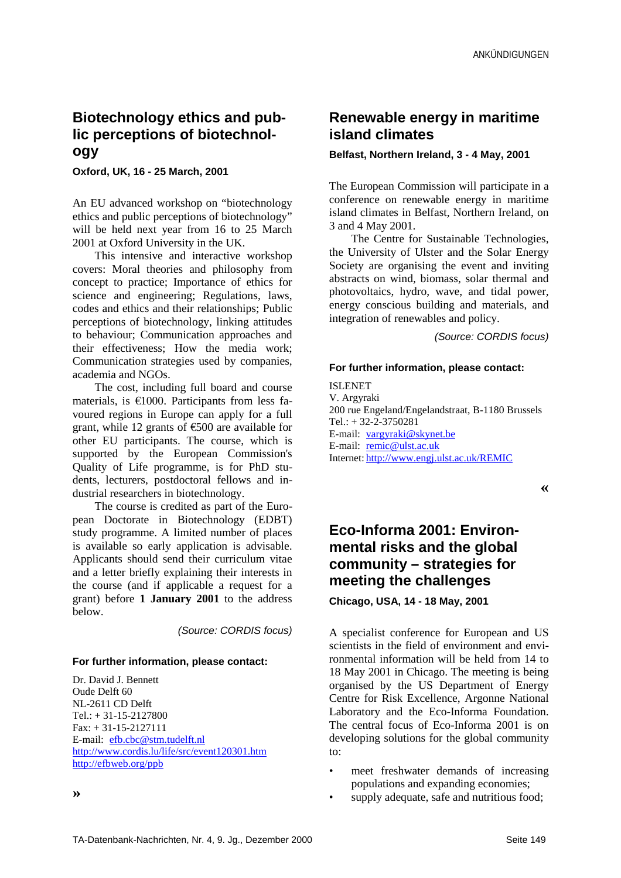## **Biotechnology ethics and public perceptions of biotechnology**

**Oxford, UK, 16 - 25 March, 2001**

An EU advanced workshop on "biotechnology ethics and public perceptions of biotechnology" will be held next year from 16 to 25 March 2001 at Oxford University in the UK.

This intensive and interactive workshop covers: Moral theories and philosophy from concept to practice; Importance of ethics for science and engineering; Regulations, laws, codes and ethics and their relationships; Public perceptions of biotechnology, linking attitudes to behaviour; Communication approaches and their effectiveness; How the media work; Communication strategies used by companies, academia and NGOs.

The cost, including full board and course materials, is  $€1000$ . Participants from less favoured regions in Europe can apply for a full grant, while 12 grants of €500 are available for other EU participants. The course, which is supported by the European Commission's Quality of Life programme, is for PhD students, lecturers, postdoctoral fellows and industrial researchers in biotechnology.

The course is credited as part of the European Doctorate in Biotechnology (EDBT) study programme. A limited number of places is available so early application is advisable. Applicants should send their curriculum vitae and a letter briefly explaining their interests in the course (and if applicable a request for a grant) before **1 January 2001** to the address below.

(Source: CORDIS focus)

#### **For further information, please contact:**

Dr. David J. Bennett Oude Delft 60 NL-2611 CD Delft  $Tel.: + 31-15-2127800$ Fax: + 31-15-2127111 E-mail: efb.cbc@stm.tudelft.nl http://www.cordis.lu/life/src/event120301.htm http://efbweb.org/ppb

#### **Belfast, Northern Ireland, 3 - 4 May, 2001**

The European Commission will participate in a conference on renewable energy in maritime island climates in Belfast, Northern Ireland, on 3 and 4 May 2001.

The Centre for Sustainable Technologies, the University of Ulster and the Solar Energy Society are organising the event and inviting abstracts on wind, biomass, solar thermal and photovoltaics, hydro, wave, and tidal power, energy conscious building and materials, and integration of renewables and policy.

(Source: CORDIS focus)

#### **For further information, please contact:**

ISLENET V. Argyraki 200 rue Engeland/Engelandstraat, B-1180 Brussels Tel.: + 32-2-3750281 E-mail: vargyraki@skynet.be E-mail: remic@ulst.ac.uk Internet: http://www.engj.ulst.ac.uk/REMIC

**«**

# **Eco-Informa 2001: Environmental risks and the global community – strategies for meeting the challenges**

**Chicago, USA, 14 - 18 May, 2001**

A specialist conference for European and US scientists in the field of environment and environmental information will be held from 14 to 18 May 2001 in Chicago. The meeting is being organised by the US Department of Energy Centre for Risk Excellence, Argonne National Laboratory and the Eco-Informa Foundation. The central focus of Eco-Informa 2001 is on developing solutions for the global community to:

- meet freshwater demands of increasing populations and expanding economies;
- supply adequate, safe and nutritious food;

**»**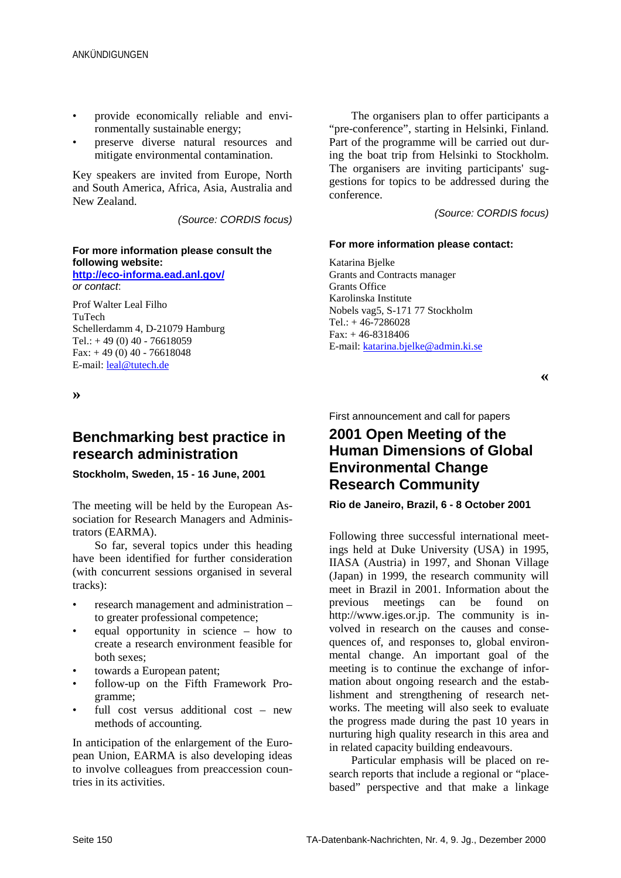- provide economically reliable and environmentally sustainable energy;
- preserve diverse natural resources and mitigate environmental contamination.

Key speakers are invited from Europe, North and South America, Africa, Asia, Australia and New Zealand.

(Source: CORDIS focus)

#### **For more information please consult the following website:**

**http://eco-informa.ead.anl.gov/** or contact:

Prof Walter Leal Filho TuTech Schellerdamm 4, D-21079 Hamburg Tel.:  $+49(0)40 - 76618059$ Fax:  $+ 49(0) 40 - 76618048$ E-mail: leal@tutech.de

**»**

### **Benchmarking best practice in research administration**

#### **Stockholm, Sweden, 15 - 16 June, 2001**

The meeting will be held by the European Association for Research Managers and Administrators (EARMA).

So far, several topics under this heading have been identified for further consideration (with concurrent sessions organised in several tracks):

- research management and administration to greater professional competence;
- equal opportunity in science how to create a research environment feasible for both sexes;
- towards a European patent;
- follow-up on the Fifth Framework Programme;
- full cost versus additional cost new methods of accounting.

In anticipation of the enlargement of the European Union, EARMA is also developing ideas to involve colleagues from preaccession countries in its activities.

The organisers plan to offer participants a "pre-conference", starting in Helsinki, Finland. Part of the programme will be carried out during the boat trip from Helsinki to Stockholm. The organisers are inviting participants' suggestions for topics to be addressed during the conference.

(Source: CORDIS focus)

#### **For more information please contact:**

Katarina Bjelke Grants and Contracts manager Grants Office Karolinska Institute Nobels vag5, S-171 77 Stockholm Tel.: + 46-7286028 Fax: + 46-8318406 E-mail: katarina.bjelke@admin.ki.se

**«**

First announcement and call for papers

## **2001 Open Meeting of the Human Dimensions of Global Environmental Change Research Community**

#### **Rio de Janeiro, Brazil, 6 - 8 October 2001**

Following three successful international meetings held at Duke University (USA) in 1995, IIASA (Austria) in 1997, and Shonan Village (Japan) in 1999, the research community will meet in Brazil in 2001. Information about the previous meetings can be found on http://www.iges.or.jp. The community is involved in research on the causes and consequences of, and responses to, global environmental change. An important goal of the meeting is to continue the exchange of information about ongoing research and the establishment and strengthening of research networks. The meeting will also seek to evaluate the progress made during the past 10 years in nurturing high quality research in this area and in related capacity building endeavours.

Particular emphasis will be placed on research reports that include a regional or "placebased" perspective and that make a linkage